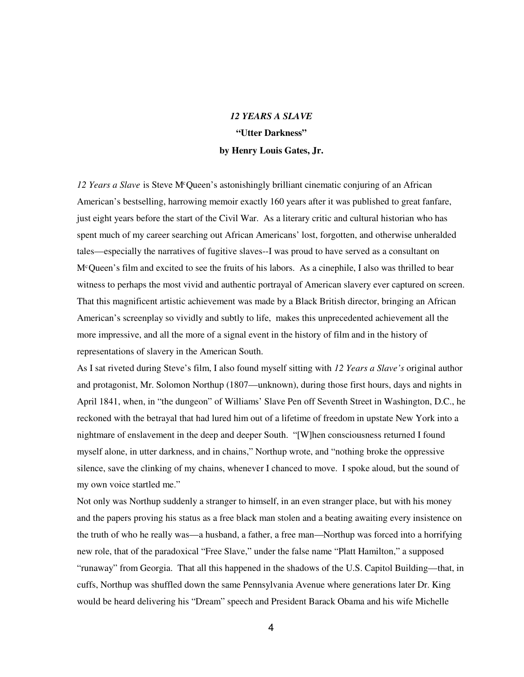# *12 YEARS A SLAVE* **"Utter Darkness" by Henry Louis Gates, Jr.**

*12 Years a Slave* is Steve M<sup>c</sup>Queen's astonishingly brilliant cinematic conjuring of an African American's bestselling, harrowing memoir exactly 160 years after it was published to great fanfare, just eight years before the start of the Civil War. As a literary critic and cultural historian who has spent much of my career searching out African Americans' lost, forgotten, and otherwise unheralded tales—especially the narratives of fugitive slaves--I was proud to have served as a consultant on M<sup>c</sup>Queen's film and excited to see the fruits of his labors. As a cinephile, I also was thrilled to bear witness to perhaps the most vivid and authentic portrayal of American slavery ever captured on screen. That this magnificent artistic achievement was made by a Black British director, bringing an African American's screenplay so vividly and subtly to life, makes this unprecedented achievement all the more impressive, and all the more of a signal event in the history of film and in the history of representations of slavery in the American South.

As I sat riveted during Steve's film, I also found myself sitting with *12 Years a Slave's* original author and protagonist, Mr. Solomon Northup (1807—unknown), during those first hours, days and nights in April 1841, when, in "the dungeon" of Williams' Slave Pen off Seventh Street in Washington, D.C., he reckoned with the betrayal that had lured him out of a lifetime of freedom in upstate New York into a nightmare of enslavement in the deep and deeper South. "[W]hen consciousness returned I found myself alone, in utter darkness, and in chains," Northup wrote, and "nothing broke the oppressive silence, save the clinking of my chains, whenever I chanced to move. I spoke aloud, but the sound of my own voice startled me."

Not only was Northup suddenly a stranger to himself, in an even stranger place, but with his money and the papers proving his status as a free black man stolen and a beating awaiting every insistence on the truth of who he really was—a husband, a father, a free man—Northup was forced into a horrifying new role, that of the paradoxical "Free Slave," under the false name "Platt Hamilton," a supposed "runaway" from Georgia. That all this happened in the shadows of the U.S. Capitol Building—that, in cuffs, Northup was shuffled down the same Pennsylvania Avenue where generations later Dr. King would be heard delivering his "Dream" speech and President Barack Obama and his wife Michelle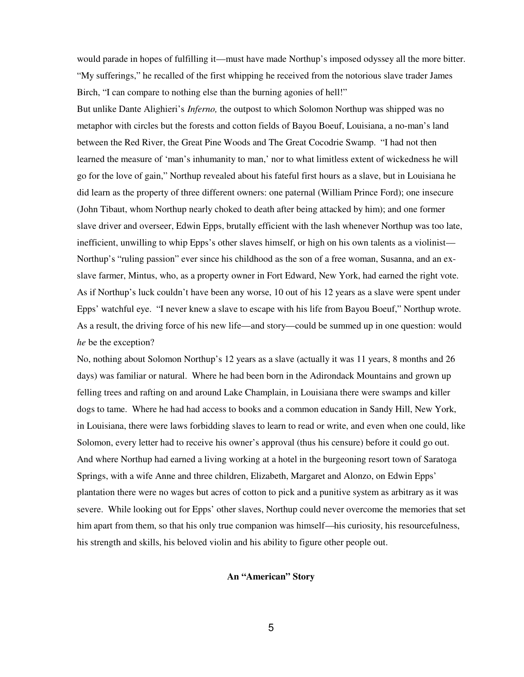would parade in hopes of fulfilling it—must have made Northup's imposed odyssey all the more bitter. "My sufferings," he recalled of the first whipping he received from the notorious slave trader James Birch, "I can compare to nothing else than the burning agonies of hell!"

But unlike Dante Alighieri's *Inferno,* the outpost to which Solomon Northup was shipped was no metaphor with circles but the forests and cotton fields of Bayou Boeuf, Louisiana, a no-man's land between the Red River, the Great Pine Woods and The Great Cocodrie Swamp. "I had not then learned the measure of 'man's inhumanity to man,' nor to what limitless extent of wickedness he will go for the love of gain," Northup revealed about his fateful first hours as a slave, but in Louisiana he did learn as the property of three different owners: one paternal (William Prince Ford); one insecure (John Tibaut, whom Northup nearly choked to death after being attacked by him); and one former slave driver and overseer, Edwin Epps, brutally efficient with the lash whenever Northup was too late, inefficient, unwilling to whip Epps's other slaves himself, or high on his own talents as a violinist— Northup's "ruling passion" ever since his childhood as the son of a free woman, Susanna, and an exslave farmer, Mintus, who, as a property owner in Fort Edward, New York, had earned the right vote. As if Northup's luck couldn't have been any worse, 10 out of his 12 years as a slave were spent under Epps' watchful eye. "I never knew a slave to escape with his life from Bayou Boeuf," Northup wrote. As a result, the driving force of his new life—and story—could be summed up in one question: would *he* be the exception?

No, nothing about Solomon Northup's 12 years as a slave (actually it was 11 years, 8 months and 26 days) was familiar or natural. Where he had been born in the Adirondack Mountains and grown up felling trees and rafting on and around Lake Champlain, in Louisiana there were swamps and killer dogs to tame. Where he had had access to books and a common education in Sandy Hill, New York, in Louisiana, there were laws forbidding slaves to learn to read or write, and even when one could, like Solomon, every letter had to receive his owner's approval (thus his censure) before it could go out. And where Northup had earned a living working at a hotel in the burgeoning resort town of Saratoga Springs, with a wife Anne and three children, Elizabeth, Margaret and Alonzo, on Edwin Epps' plantation there were no wages but acres of cotton to pick and a punitive system as arbitrary as it was severe. While looking out for Epps' other slaves, Northup could never overcome the memories that set him apart from them, so that his only true companion was himself—his curiosity, his resourcefulness, his strength and skills, his beloved violin and his ability to figure other people out.

## **An "American" Story**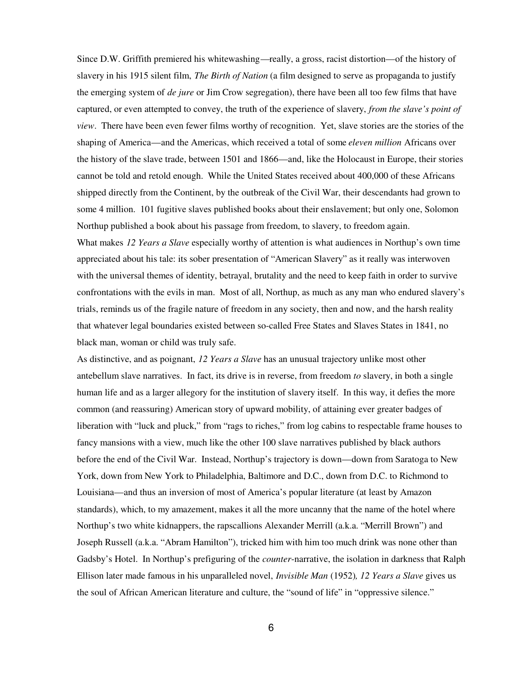Since D.W. Griffith premiered his whitewashing—really, a gross, racist distortion—of the history of slavery in his 1915 silent film, *The Birth of Nation* (a film designed to serve as propaganda to justify the emerging system of *de jure* or Jim Crow segregation), there have been all too few films that have captured, or even attempted to convey, the truth of the experience of slavery, *from the slave's point of view*. There have been even fewer films worthy of recognition. Yet, slave stories are the stories of the shaping of America—and the Americas, which received a total of some *eleven million* Africans over the history of the slave trade, between 1501 and 1866—and, like the Holocaust in Europe, their stories cannot be told and retold enough. While the United States received about 400,000 of these Africans shipped directly from the Continent, by the outbreak of the Civil War, their descendants had grown to some 4 million. 101 fugitive slaves published books about their enslavement; but only one, Solomon Northup published a book about his passage from freedom, to slavery, to freedom again. What makes *12 Years a Slave* especially worthy of attention is what audiences in Northup's own time appreciated about his tale: its sober presentation of "American Slavery" as it really was interwoven with the universal themes of identity, betrayal, brutality and the need to keep faith in order to survive confrontations with the evils in man. Most of all, Northup, as much as any man who endured slavery's trials, reminds us of the fragile nature of freedom in any society, then and now, and the harsh reality that whatever legal boundaries existed between so-called Free States and Slaves States in 1841, no black man, woman or child was truly safe.

As distinctive, and as poignant, *12 Years a Slave* has an unusual trajectory unlike most other antebellum slave narratives. In fact, its drive is in reverse, from freedom *to* slavery, in both a single human life and as a larger allegory for the institution of slavery itself. In this way, it defies the more common (and reassuring) American story of upward mobility, of attaining ever greater badges of liberation with "luck and pluck," from "rags to riches," from log cabins to respectable frame houses to fancy mansions with a view, much like the other 100 slave narratives published by black authors before the end of the Civil War. Instead, Northup's trajectory is down—down from Saratoga to New York, down from New York to Philadelphia, Baltimore and D.C., down from D.C. to Richmond to Louisiana—and thus an inversion of most of America's popular literature (at least by Amazon standards), which, to my amazement, makes it all the more uncanny that the name of the hotel where Northup's two white kidnappers, the rapscallions Alexander Merrill (a.k.a. "Merrill Brown") and Joseph Russell (a.k.a. "Abram Hamilton"), tricked him with him too much drink was none other than Gadsby's Hotel. In Northup's prefiguring of the *counter*-narrative, the isolation in darkness that Ralph Ellison later made famous in his unparalleled novel, *Invisible Man* (1952)*, 12 Years a Slave* gives us the soul of African American literature and culture, the "sound of life" in "oppressive silence."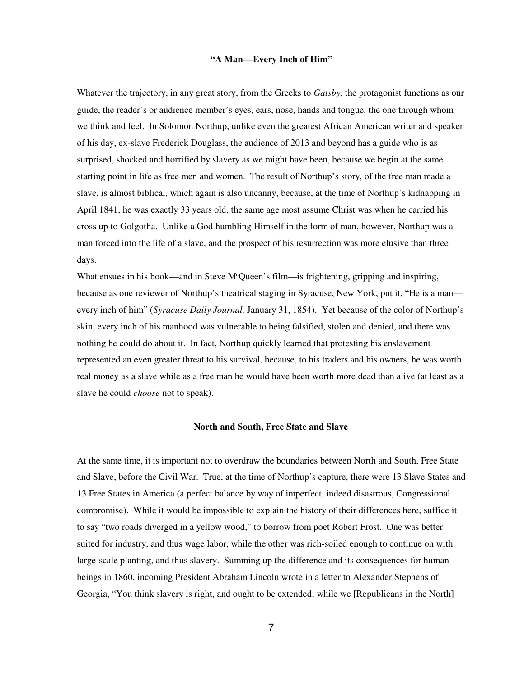#### **"A Man—Every Inch of Him"**

Whatever the trajectory, in any great story, from the Greeks to *Gatsby,* the protagonist functions as our guide, the reader's or audience member's eyes, ears, nose, hands and tongue, the one through whom we think and feel. In Solomon Northup, unlike even the greatest African American writer and speaker of his day, ex-slave Frederick Douglass, the audience of 2013 and beyond has a guide who is as surprised, shocked and horrified by slavery as we might have been, because we begin at the same starting point in life as free men and women. The result of Northup's story, of the free man made a slave, is almost biblical, which again is also uncanny, because, at the time of Northup's kidnapping in April 1841, he was exactly 33 years old, the same age most assume Christ was when he carried his cross up to Golgotha. Unlike a God humbling Himself in the form of man, however, Northup was a man forced into the life of a slave, and the prospect of his resurrection was more elusive than three days.

What ensues in his book—and in Steve M<sup>c</sup>Queen's film—is frightening, gripping and inspiring, because as one reviewer of Northup's theatrical staging in Syracuse, New York, put it, "He is a man every inch of him" (*Syracuse Daily Journal,* January 31, 1854). Yet because of the color of Northup's skin, every inch of his manhood was vulnerable to being falsified, stolen and denied, and there was nothing he could do about it. In fact, Northup quickly learned that protesting his enslavement represented an even greater threat to his survival, because, to his traders and his owners, he was worth real money as a slave while as a free man he would have been worth more dead than alive (at least as a slave he could *choose* not to speak).

#### **North and South, Free State and Slave**

At the same time, it is important not to overdraw the boundaries between North and South, Free State and Slave, before the Civil War. True, at the time of Northup's capture, there were 13 Slave States and 13 Free States in America (a perfect balance by way of imperfect, indeed disastrous, Congressional compromise). While it would be impossible to explain the history of their differences here, suffice it to say "two roads diverged in a yellow wood," to borrow from poet Robert Frost. One was better suited for industry, and thus wage labor, while the other was rich-soiled enough to continue on with large-scale planting, and thus slavery. Summing up the difference and its consequences for human beings in 1860, incoming President Abraham Lincoln wrote in a letter to Alexander Stephens of Georgia, "You think slavery is right, and ought to be extended; while we [Republicans in the North]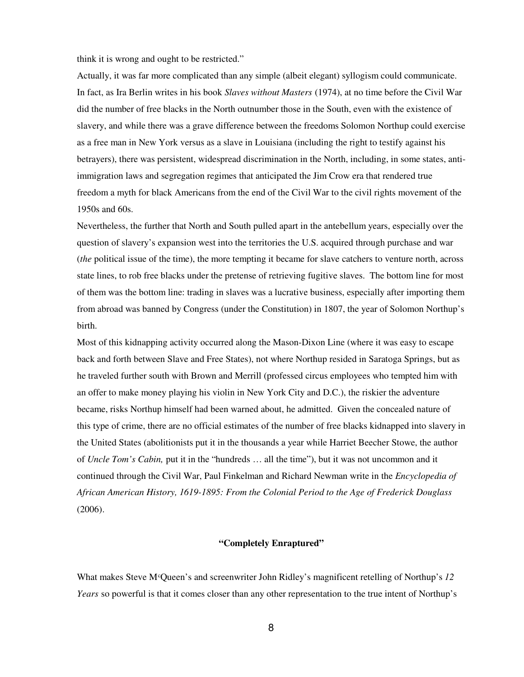think it is wrong and ought to be restricted."

Actually, it was far more complicated than any simple (albeit elegant) syllogism could communicate. In fact, as Ira Berlin writes in his book *Slaves without Masters* (1974), at no time before the Civil War did the number of free blacks in the North outnumber those in the South, even with the existence of slavery, and while there was a grave difference between the freedoms Solomon Northup could exercise as a free man in New York versus as a slave in Louisiana (including the right to testify against his betrayers), there was persistent, widespread discrimination in the North, including, in some states, antiimmigration laws and segregation regimes that anticipated the Jim Crow era that rendered true freedom a myth for black Americans from the end of the Civil War to the civil rights movement of the 1950s and 60s.

Nevertheless, the further that North and South pulled apart in the antebellum years, especially over the question of slavery's expansion west into the territories the U.S. acquired through purchase and war (*the* political issue of the time), the more tempting it became for slave catchers to venture north, across state lines, to rob free blacks under the pretense of retrieving fugitive slaves. The bottom line for most of them was the bottom line: trading in slaves was a lucrative business, especially after importing them from abroad was banned by Congress (under the Constitution) in 1807, the year of Solomon Northup's birth.

Most of this kidnapping activity occurred along the Mason-Dixon Line (where it was easy to escape back and forth between Slave and Free States), not where Northup resided in Saratoga Springs, but as he traveled further south with Brown and Merrill (professed circus employees who tempted him with an offer to make money playing his violin in New York City and D.C.), the riskier the adventure became, risks Northup himself had been warned about, he admitted. Given the concealed nature of this type of crime, there are no official estimates of the number of free blacks kidnapped into slavery in the United States (abolitionists put it in the thousands a year while Harriet Beecher Stowe, the author of *Uncle Tom's Cabin,* put it in the "hundreds … all the time"), but it was not uncommon and it continued through the Civil War, Paul Finkelman and Richard Newman write in the *Encyclopedia of African American History, 1619-1895: From the Colonial Period to the Age of Frederick Douglass* (2006)*.*

## **"Completely Enraptured"**

What makes Steve M<sup>c</sup>Queen's and screenwriter John Ridley's magnificent retelling of Northup's 12 *Years* so powerful is that it comes closer than any other representation to the true intent of Northup's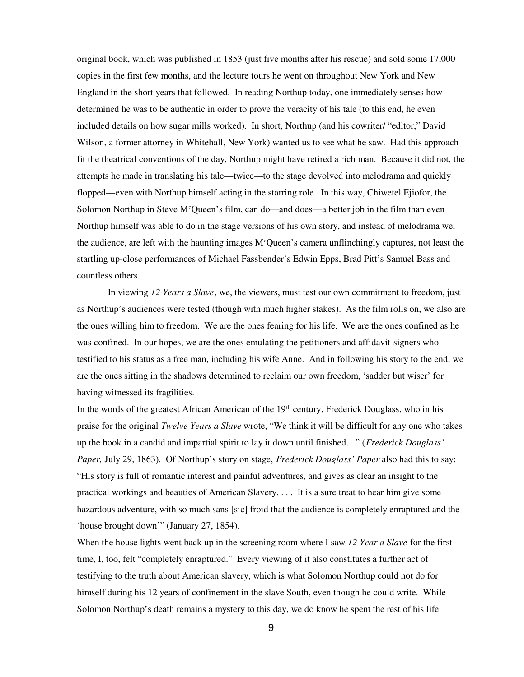original book, which was published in 1853 (just five months after his rescue) and sold some 17,000 copies in the first few months, and the lecture tours he went on throughout New York and New England in the short years that followed. In reading Northup today, one immediately senses how determined he was to be authentic in order to prove the veracity of his tale (to this end, he even included details on how sugar mills worked). In short, Northup (and his cowriter/ "editor," David Wilson, a former attorney in Whitehall, New York) wanted us to see what he saw. Had this approach fit the theatrical conventions of the day, Northup might have retired a rich man. Because it did not, the attempts he made in translating his tale—twice—to the stage devolved into melodrama and quickly flopped—even with Northup himself acting in the starring role. In this way, Chiwetel Ejiofor, the Solomon Northup in Steve M<sup>c</sup>Queen's film, can do—and does—a better job in the film than even Northup himself was able to do in the stage versions of his own story, and instead of melodrama we, the audience, are left with the haunting images M<sup>c</sup>Queen's camera unflinchingly captures, not least the startling up-close performances of Michael Fassbender's Edwin Epps, Brad Pitt's Samuel Bass and countless others.

In viewing *12 Years a Slave*, we, the viewers, must test our own commitment to freedom, just as Northup's audiences were tested (though with much higher stakes). As the film rolls on, we also are the ones willing him to freedom. We are the ones fearing for his life. We are the ones confined as he was confined. In our hopes, we are the ones emulating the petitioners and affidavit-signers who testified to his status as a free man, including his wife Anne. And in following his story to the end, we are the ones sitting in the shadows determined to reclaim our own freedom, 'sadder but wiser' for having witnessed its fragilities.

In the words of the greatest African American of the 19<sup>th</sup> century, Frederick Douglass, who in his praise for the original *Twelve Years a Slave* wrote, "We think it will be difficult for any one who takes up the book in a candid and impartial spirit to lay it down until finished…" (*Frederick Douglass' Paper,* July 29, 1863). Of Northup's story on stage, *Frederick Douglass' Paper* also had this to say: "His story is full of romantic interest and painful adventures, and gives as clear an insight to the practical workings and beauties of American Slavery. . . . It is a sure treat to hear him give some hazardous adventure, with so much sans [sic] froid that the audience is completely enraptured and the 'house brought down'" (January 27, 1854).

When the house lights went back up in the screening room where I saw *12 Year a Slave* for the first time, I, too, felt "completely enraptured." Every viewing of it also constitutes a further act of testifying to the truth about American slavery, which is what Solomon Northup could not do for himself during his 12 years of confinement in the slave South, even though he could write. While Solomon Northup's death remains a mystery to this day, we do know he spent the rest of his life

9